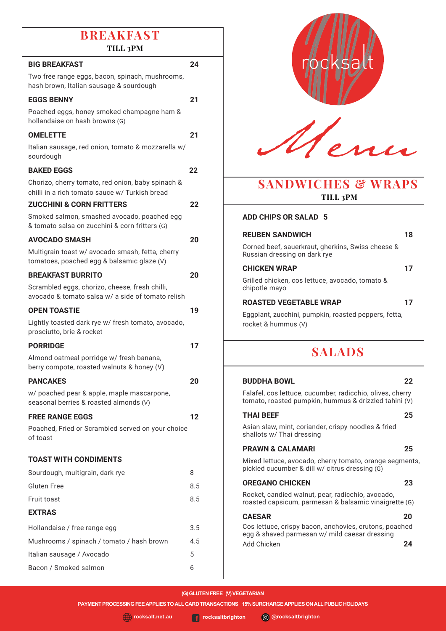# **BBREAKFACH**

| BREAKFAST<br>TILL 3PM                                                                               |     |
|-----------------------------------------------------------------------------------------------------|-----|
|                                                                                                     |     |
| <b>BIG BREAKFAST</b><br>Two free range eggs, bacon, spinach, mushrooms,                             | 24  |
| hash brown, Italian sausage & sourdough                                                             |     |
| <b>EGGS BENNY</b>                                                                                   | 21  |
| Poached eggs, honey smoked champagne ham &<br>hollandaise on hash browns (G)                        |     |
| <b>OMELETTE</b>                                                                                     | 21  |
| Italian sausage, red onion, tomato & mozzarella w/<br>sourdough                                     |     |
| <b>BAKED EGGS</b>                                                                                   | 22  |
| Chorizo, cherry tomato, red onion, baby spinach &                                                   |     |
| chilli in a rich tomato sauce w/ Turkish bread<br><b>ZUCCHINI &amp; CORN FRITTERS</b>               | 22  |
| Smoked salmon, smashed avocado, poached egg                                                         |     |
| & tomato salsa on zucchini & corn fritters (G)                                                      |     |
| <b>AVOCADO SMASH</b>                                                                                | 20  |
| Multigrain toast w/ avocado smash, fetta, cherry                                                    |     |
| tomatoes, poached egg & balsamic glaze (V)                                                          |     |
| <b>BREAKFAST BURRITO</b>                                                                            | 20  |
| Scrambled eggs, chorizo, cheese, fresh chilli,<br>avocado & tomato salsa w/ a side of tomato relish |     |
| <b>OPEN TOASTIE</b>                                                                                 | 19  |
| Lightly toasted dark rye w/ fresh tomato, avocado,<br>prosciutto, brie & rocket                     |     |
| <b>PORRIDGE</b>                                                                                     | 17  |
| Almond oatmeal porridge w/ fresh banana,<br>berry compote, roasted walnuts & honey (V)              |     |
| <b>PANCAKES</b>                                                                                     | 20  |
| w/ poached pear & apple, maple mascarpone,<br>seasonal berries & roasted almonds (V)                |     |
| <b>FREE RANGE EGGS</b>                                                                              | 12  |
| Poached, Fried or Scrambled served on your choice<br>of toast                                       |     |
| <b>TOAST WITH CONDIMENTS</b>                                                                        |     |
| Sourdough, multigrain, dark rye                                                                     | 8   |
| <b>Gluten Free</b>                                                                                  | 8.5 |
| Fruit toast                                                                                         | 8.5 |
| <b>EXTRAS</b>                                                                                       |     |
| Hollandaise / free range egg                                                                        | 3.5 |
| Mushrooms / spinach / tomato / hash brown                                                           | 4.5 |
| Italian sausage / Avocado                                                                           | 5   |
| Bacon / Smoked salmon                                                                               | 6   |
|                                                                                                     |     |



P RASA

## **SANDWICHES & WRAPS TILL 3PM**

#### **ADD CHIPS OR SALAD 5**

| <b>REUBEN SANDWICH</b> |  |
|------------------------|--|
|                        |  |

Corned beef, sauerkraut, gherkins, Swiss cheese & Russian dressing on dark rye

#### **CHICKEN WRAP 17**

Grilled chicken, cos lettuce, avocado, tomato & chipotle mayo

#### **ROASTED VEGETABLE WRAP 17**

Eggplant, zucchini, pumpkin, roasted peppers, fetta, rocket & hummus (V)

## **SALADS**

#### **BUDDHA BOWL 22**

Falafel, cos lettuce, cucumber, radicchio, olives, cherry tomato, roasted pumpkin, hummus & drizzled tahini (V)

#### **THAI BEEF 25**

Asian slaw, mint, coriander, crispy noodles & fried shallots w/ Thai dressing

#### **PRAWN & CALAMARI 25**

Mixed lettuce, avocado, cherry tomato, orange segments, pickled cucumber & dill w/ citrus dressing (G)

#### **OREGANO CHICKEN 23**

Rocket, candied walnut, pear, radicchio, avocado, roasted capsicum, parmesan & balsamic vinaigrette (G)

#### **CAESAR 20** Cos lettuce, crispy bacon, anchovies, crutons, poached egg & shaved parmesan w/ mild caesar dressing

**(G) GLUTEN FREE (V) VEGETARIAN**

**PAYMENT PROCESSING FEE APPLIES TO ALL CARD TRANSACTIONS 15% SURCHARGE APPLIES ON ALL PUBLIC HOLIDAYS**

**rocksalt.net.au rocksaltbrighton @rocksaltbrighton**